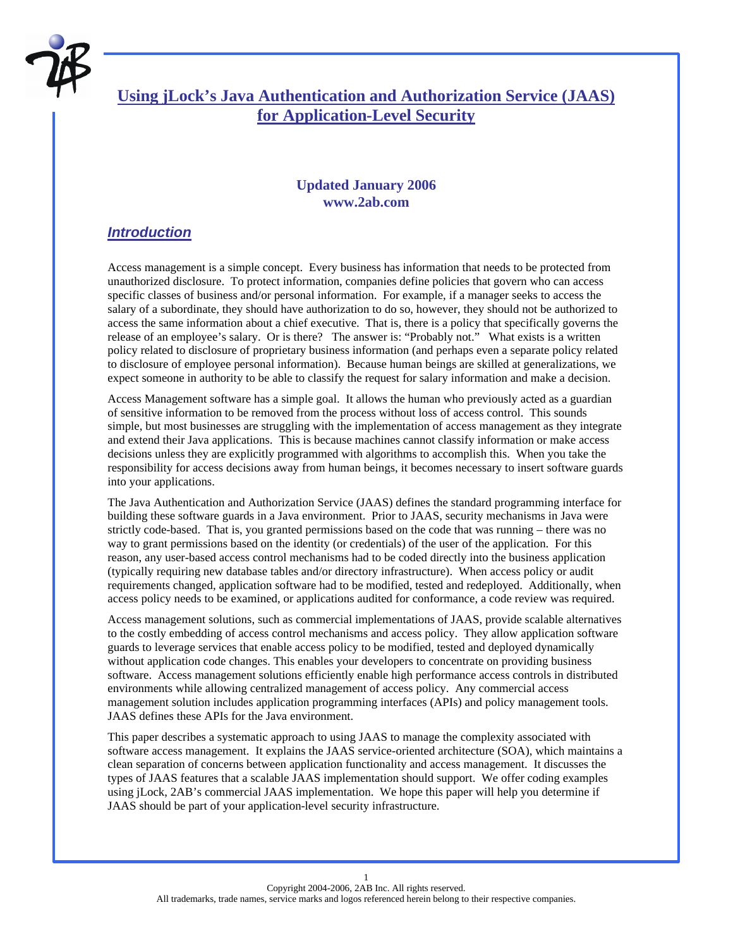

# **Using jLock's Java Authentication and Authorization Service (JAAS) for Application-Level Security**

### **Updated January 2006 www.2ab.com**

### *Introduction*

Access management is a simple concept. Every business has information that needs to be protected from unauthorized disclosure. To protect information, companies define policies that govern who can access specific classes of business and/or personal information. For example, if a manager seeks to access the salary of a subordinate, they should have authorization to do so, however, they should not be authorized to access the same information about a chief executive. That is, there is a policy that specifically governs the release of an employee's salary. Or is there? The answer is: "Probably not." What exists is a written policy related to disclosure of proprietary business information (and perhaps even a separate policy related to disclosure of employee personal information). Because human beings are skilled at generalizations, we expect someone in authority to be able to classify the request for salary information and make a decision.

Access Management software has a simple goal. It allows the human who previously acted as a guardian of sensitive information to be removed from the process without loss of access control. This sounds simple, but most businesses are struggling with the implementation of access management as they integrate and extend their Java applications. This is because machines cannot classify information or make access decisions unless they are explicitly programmed with algorithms to accomplish this. When you take the responsibility for access decisions away from human beings, it becomes necessary to insert software guards into your applications.

The Java Authentication and Authorization Service (JAAS) defines the standard programming interface for building these software guards in a Java environment. Prior to JAAS, security mechanisms in Java were strictly code-based. That is, you granted permissions based on the code that was running – there was no way to grant permissions based on the identity (or credentials) of the user of the application. For this reason, any user-based access control mechanisms had to be coded directly into the business application (typically requiring new database tables and/or directory infrastructure). When access policy or audit requirements changed, application software had to be modified, tested and redeployed. Additionally, when access policy needs to be examined, or applications audited for conformance, a code review was required.

Access management solutions, such as commercial implementations of JAAS, provide scalable alternatives to the costly embedding of access control mechanisms and access policy. They allow application software guards to leverage services that enable access policy to be modified, tested and deployed dynamically without application code changes. This enables your developers to concentrate on providing business software. Access management solutions efficiently enable high performance access controls in distributed environments while allowing centralized management of access policy. Any commercial access management solution includes application programming interfaces (APIs) and policy management tools. JAAS defines these APIs for the Java environment.

This paper describes a systematic approach to using JAAS to manage the complexity associated with software access management. It explains the JAAS service-oriented architecture (SOA), which maintains a clean separation of concerns between application functionality and access management. It discusses the types of JAAS features that a scalable JAAS implementation should support. We offer coding examples using jLock, 2AB's commercial JAAS implementation. We hope this paper will help you determine if JAAS should be part of your application-level security infrastructure.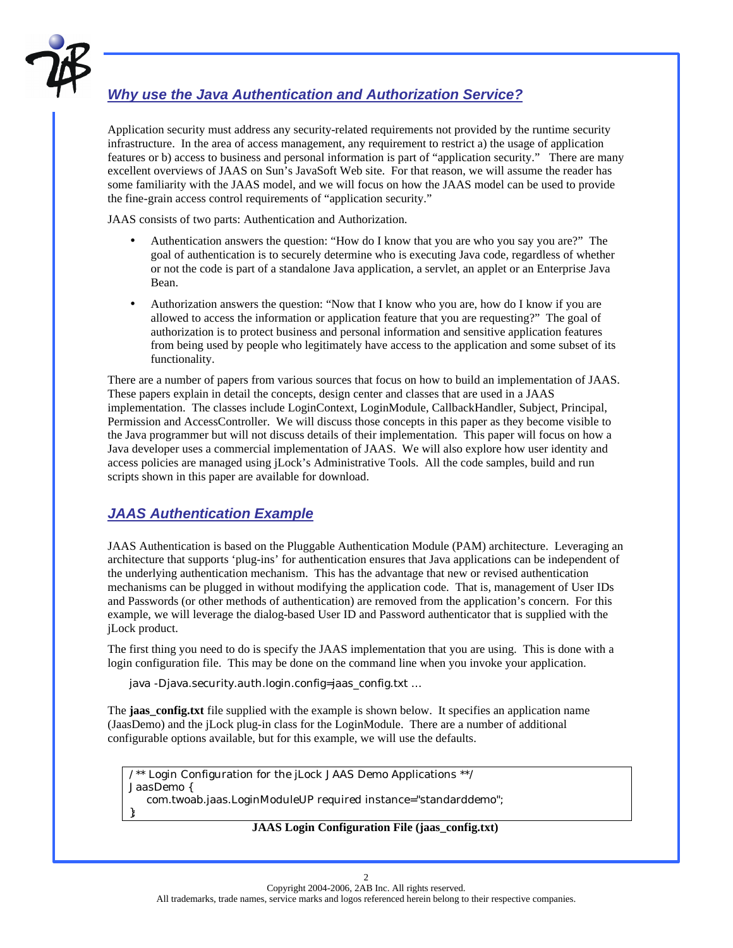

# *Why use the Java Authentication and Authorization Service?*

Application security must address any security-related requirements not provided by the runtime security infrastructure. In the area of access management, any requirement to restrict a) the usage of application features or b) access to business and personal information is part of "application security." There are many excellent overviews of JAAS on Sun's JavaSoft Web site. For that reason, we will assume the reader has some familiarity with the JAAS model, and we will focus on how the JAAS model can be used to provide the fine-grain access control requirements of "application security."

JAAS consists of two parts: Authentication and Authorization.

- Authentication answers the question: "How do I know that you are who you say you are?" The goal of authentication is to securely determine who is executing Java code, regardless of whether or not the code is part of a standalone Java application, a servlet, an applet or an Enterprise Java Bean.
- Authorization answers the question: "Now that I know who you are, how do I know if you are allowed to access the information or application feature that you are requesting?" The goal of authorization is to protect business and personal information and sensitive application features from being used by people who legitimately have access to the application and some subset of its functionality.

There are a number of papers from various sources that focus on how to build an implementation of JAAS. These papers explain in detail the concepts, design center and classes that are used in a JAAS implementation. The classes include LoginContext, LoginModule, CallbackHandler, Subject, Principal, Permission and AccessController. We will discuss those concepts in this paper as they become visible to the Java programmer but will not discuss details of their implementation. This paper will focus on how a Java developer uses a commercial implementation of JAAS. We will also explore how user identity and access policies are managed using jLock's Administrative Tools. All the code samples, build and run scripts shown in this paper are available for download.

# *JAAS Authentication Example*

JAAS Authentication is based on the Pluggable Authentication Module (PAM) architecture. Leveraging an architecture that supports 'plug-ins' for authentication ensures that Java applications can be independent of the underlying authentication mechanism. This has the advantage that new or revised authentication mechanisms can be plugged in without modifying the application code. That is, management of User IDs and Passwords (or other methods of authentication) are removed from the application's concern. For this example, we will leverage the dialog-based User ID and Password authenticator that is supplied with the jLock product.

The first thing you need to do is specify the JAAS implementation that you are using. This is done with a login configuration file. This may be done on the command line when you invoke your application.

java -Djava.security.auth.login.config=jaas\_config.txt …

The **jaas** config.txt file supplied with the example is shown below. It specifies an application name (JaasDemo) and the jLock plug-in class for the LoginModule. There are a number of additional configurable options available, but for this example, we will use the defaults.

/\*\* Login Configuration for the jLock JAAS Demo Applications \*\*/ JaasDemo { com.twoab.jaas.LoginModuleUP required instance="standarddemo"; };

#### **JAAS Login Configuration File (jaas\_config.txt)**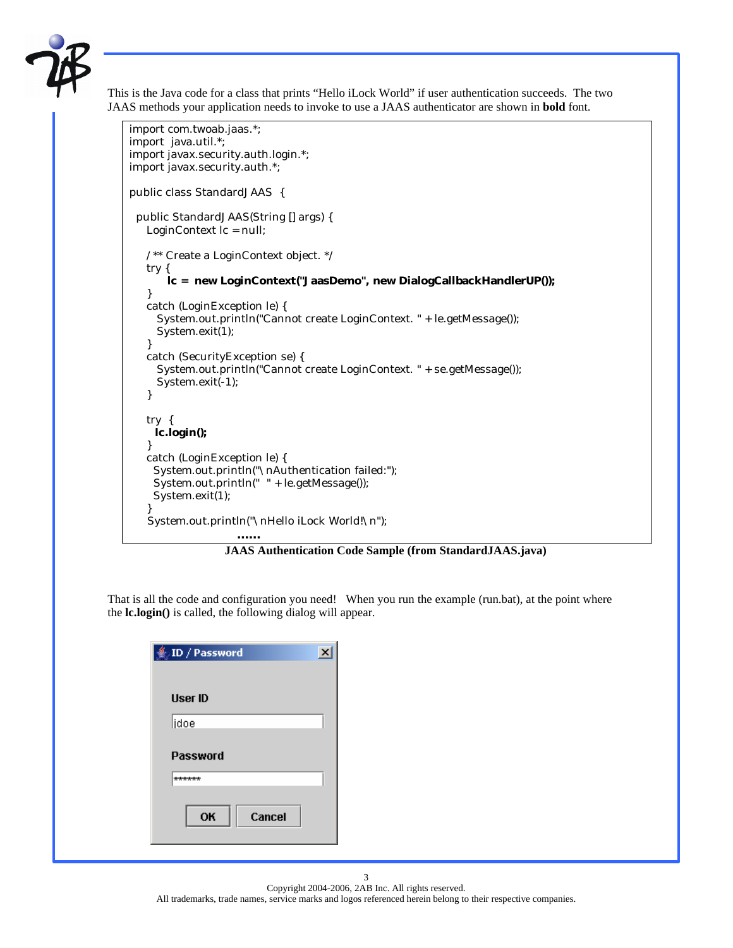

This is the Java code for a class that prints "Hello iLock World" if user authentication succeeds. The two JAAS methods your application needs to invoke to use a JAAS authenticator are shown in **bold** font.

```
import com.twoab.jaas.*;
import java.util.*;
import javax.security.auth.login.*;
import javax.security.auth.*;
public class StandardJAAS {
  public StandardJAAS(String [] args) {
    LoginContext lc = null;
    /** Create a LoginContext object. */
    try {
        lc = new LoginContext("JaasDemo", new DialogCallbackHandlerUP());
    }
    catch (LoginException le) {
      System.out.println("Cannot create LoginContext. " + le.getMessage());
      System.exit(1);
    }
    catch (SecurityException se) {
      System.out.println("Cannot create LoginContext. " + se.getMessage());
      System.exit(-1);
    }
    try {
     lc.login();
    }
    catch (LoginException le) {
     System.out.println("\nAuthentication failed:");
     System.out.println(" " + le.getMessage());
     System.exit(1);
 }
    System.out.println("\nHello iLock World!\n");
                     ……
```
 **JAAS Authentication Code Sample (from StandardJAAS.java)**

That is all the code and configuration you need! When you run the example (run.bat), at the point where the **lc.login()** is called, the following dialog will appear.

| $\frac{d}{dx}$ ID / Password | $\overline{\mathbf{x}}$ |
|------------------------------|-------------------------|
| <b>User ID</b>               |                         |
| idoe                         |                         |
| <b>Password</b>              |                         |
| ******                       |                         |
| OK<br>Cancel                 |                         |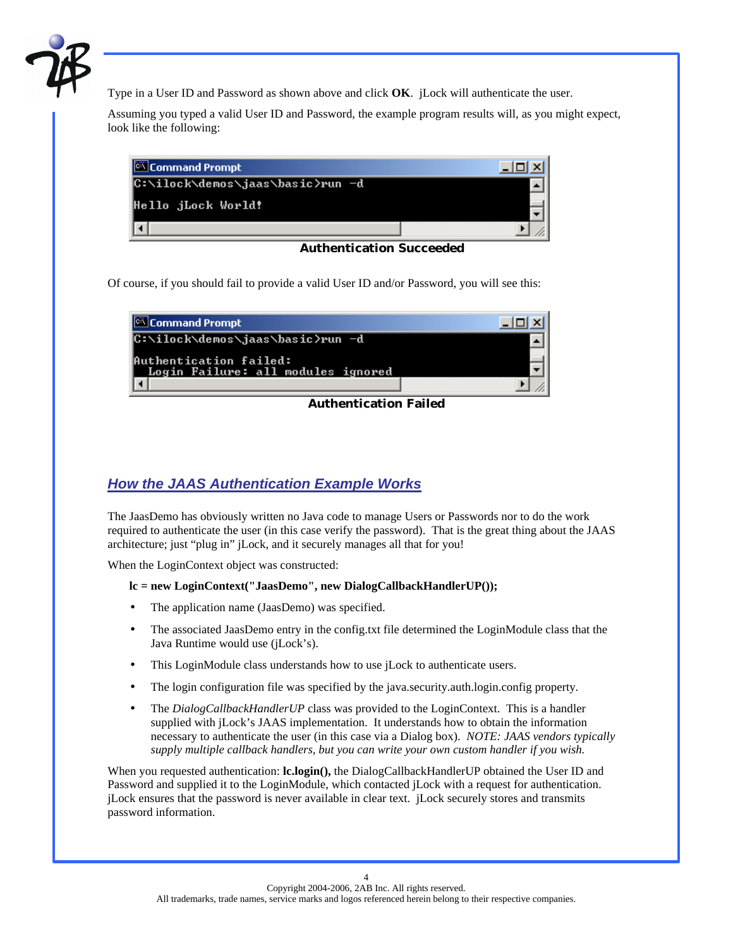

Type in a User ID and Password as shown above and click **OK**. jLock will authenticate the user.

Assuming you typed a valid User ID and Password, the example program results will, as you might expect, look like the following:



 **Authentication Succeeded**

Of course, if you should fail to provide a valid User ID and/or Password, you will see this:

| Command Prompt                                               |  |
|--------------------------------------------------------------|--|
| C:\ilock\demos\jaas\basic>run -d                             |  |
| Authentication failed:<br>Login Failure: all modules ignored |  |
|                                                              |  |

### **Authentication Failed**

## *How the JAAS Authentication Example Works*

The JaasDemo has obviously written no Java code to manage Users or Passwords nor to do the work required to authenticate the user (in this case verify the password). That is the great thing about the JAAS architecture; just "plug in" jLock, and it securely manages all that for you!

When the LoginContext object was constructed:

### **lc = new LoginContext("JaasDemo", new DialogCallbackHandlerUP());**

- The application name (JaasDemo) was specified.
- The associated JaasDemo entry in the config.txt file determined the LoginModule class that the Java Runtime would use (jLock's).
- This LoginModule class understands how to use jLock to authenticate users.
- The login configuration file was specified by the java.security.auth.login.config property.
- The *DialogCallbackHandlerUP* class was provided to the LoginContext. This is a handler supplied with jLock's JAAS implementation. It understands how to obtain the information necessary to authenticate the user (in this case via a Dialog box). *NOTE: JAAS vendors typically supply multiple callback handlers, but you can write your own custom handler if you wish.*

When you requested authentication: **lc.login**(), the DialogCallbackHandlerUP obtained the User ID and Password and supplied it to the LoginModule, which contacted jLock with a request for authentication. jLock ensures that the password is never available in clear text. jLock securely stores and transmits password information.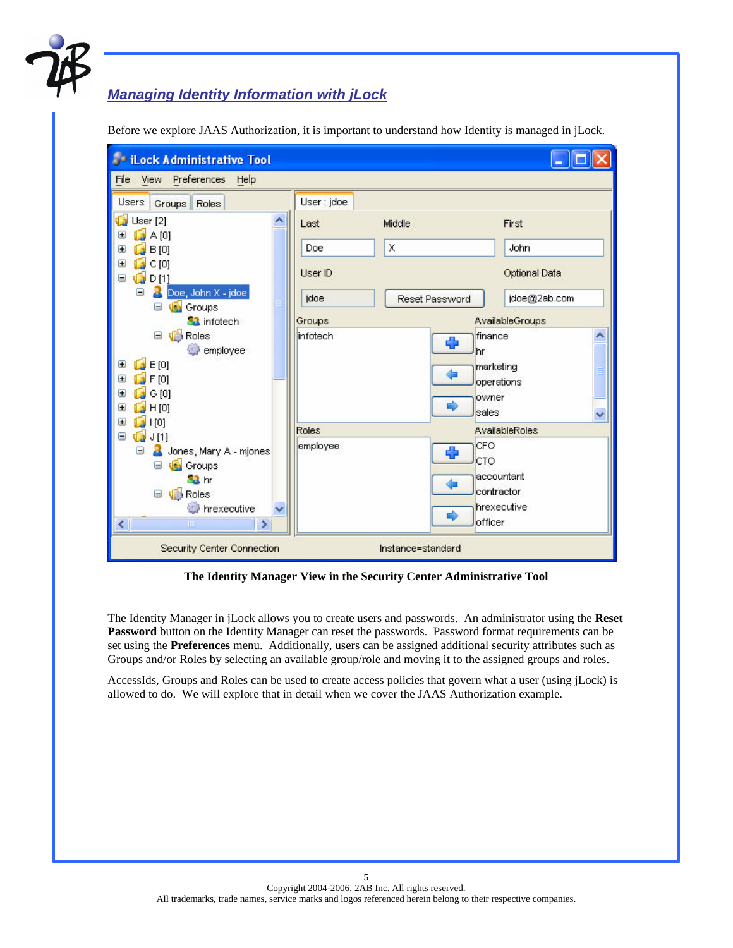

# *Managing Identity Information with jLock*

Before we explore JAAS Authorization, it is important to understand how Identity is managed in jLock.

| <b>John File Administrative Tool</b>            |              |                |                       |  |
|-------------------------------------------------|--------------|----------------|-----------------------|--|
| View Preferences<br>File<br>Help                |              |                |                       |  |
| Users<br>Groups Roles                           | User : jdoe  |                |                       |  |
| d<br>User [2]<br>A [0]<br>Œ                     | Last         | Middle         | First                 |  |
| B[0]<br>Œ                                       | Doe          | X              | John                  |  |
| C[0]<br>ſ.<br>Θ<br>$\mathbf{G}$<br>Θ<br>D[1]    | User ID      |                | Optional Data         |  |
| Θ<br>Doe, John X - jdoe<br>Groups<br>Θ          | idoe         | Reset Password | jdoe@2ab.com          |  |
| <b>R</b> infotech                               | Groups       |                | AvailableGroups       |  |
| Roles<br>Θ<br>employee                          | infotech     | Ф<br>hr        | finance               |  |
| $\Box$ E [0]<br>⊕                               |              |                | marketing             |  |
| F[0]<br>Θ                                       |              |                | operations            |  |
| G[0]<br>匡                                       |              | owner          |                       |  |
| H[0]<br>Θ                                       |              | E)<br>sales    | v                     |  |
| [0]<br>⊕<br>Ó<br>Θ                              | <b>Roles</b> |                | <b>AvailableRoles</b> |  |
| J[1]<br>Θ<br>Jones, Mary A - mjones             | employee     | CFO            |                       |  |
| Groups<br>Θ                                     |              | Ф<br>CTO       |                       |  |
| <b>SB</b> hr                                    |              |                | accountant            |  |
| <b>N</b> Roles<br>Θ                             |              |                | contractor            |  |
| hrexecutive                                     |              |                | hrexecutive           |  |
| $\left\langle \right\rangle$<br>×<br>m          |              | ⇨<br>officer   |                       |  |
| Instance=standard<br>Security Center Connection |              |                |                       |  |

**The Identity Manager View in the Security Center Administrative Tool**

The Identity Manager in jLock allows you to create users and passwords. An administrator using the **Reset**  Password button on the Identity Manager can reset the passwords. Password format requirements can be set using the **Preferences** menu. Additionally, users can be assigned additional security attributes such as Groups and/or Roles by selecting an available group/role and moving it to the assigned groups and roles.

AccessIds, Groups and Roles can be used to create access policies that govern what a user (using jLock) is allowed to do. We will explore that in detail when we cover the JAAS Authorization example.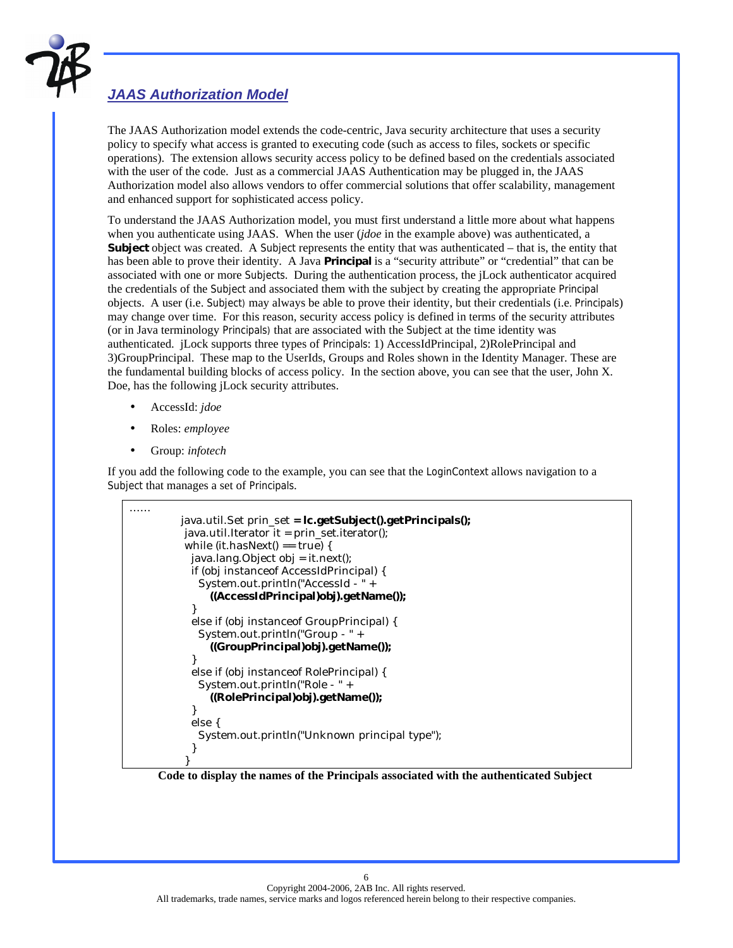

# *JAAS Authorization Model*

The JAAS Authorization model extends the code-centric, Java security architecture that uses a security policy to specify what access is granted to executing code (such as access to files, sockets or specific operations). The extension allows security access policy to be defined based on the credentials associated with the user of the code. Just as a commercial JAAS Authentication may be plugged in, the JAAS Authorization model also allows vendors to offer commercial solutions that offer scalability, management and enhanced support for sophisticated access policy.

To understand the JAAS Authorization model, you must first understand a little more about what happens when you authenticate using JAAS. When the user (*jdoe* in the example above) was authenticated, a **Subject** object was created. A Subject represents the entity that was authenticated – that is, the entity that has been able to prove their identity. A Java **Principal** is a "security attribute" or "credential" that can be associated with one or more Subjects. During the authentication process, the jLock authenticator acquired the credentials of the Subject and associated them with the subject by creating the appropriate Principal objects. A user (i.e. Subject) may always be able to prove their identity, but their credentials (i.e. Principals) may change over time. For this reason, security access policy is defined in terms of the security attributes (or in Java terminology Principals) that are associated with the Subject at the time identity was authenticated. jLock supports three types of Principals: 1) AccessIdPrincipal, 2)RolePrincipal and 3)GroupPrincipal. These map to the UserIds, Groups and Roles shown in the Identity Manager. These are the fundamental building blocks of access policy. In the section above, you can see that the user, John X. Doe, has the following jLock security attributes.

- AccessId: *jdoe*
- Roles: *employee*
- Group: *infotech*

If you add the following code to the example, you can see that the LoginContext allows navigation to a Subject that manages a set of Principals.

```
…… 
          java.util.Set prin_set = lc.getSubject().getPrincipals();
           java.util.Iterator it = prin_set.iterator();
          while (it.hasNext() == true) {
            java.lang.Object obj = it.next();
            if (obj instanceof AccessIdPrincipal) {
             System.out.println("AccessId - " +
               ((AccessIdPrincipal)obj).getName());
 }
            else if (obj instanceof GroupPrincipal) {
             System.out.println("Group - " +
               ((GroupPrincipal)obj).getName());
 }
            else if (obj instanceof RolePrincipal) {
             System.out.println("Role - " +
               ((RolePrincipal)obj).getName());
 }
            else {
             System.out.println("Unknown principal type");
 }
 }
```
 **Code to display the names of the Principals associated with the authenticated Subject**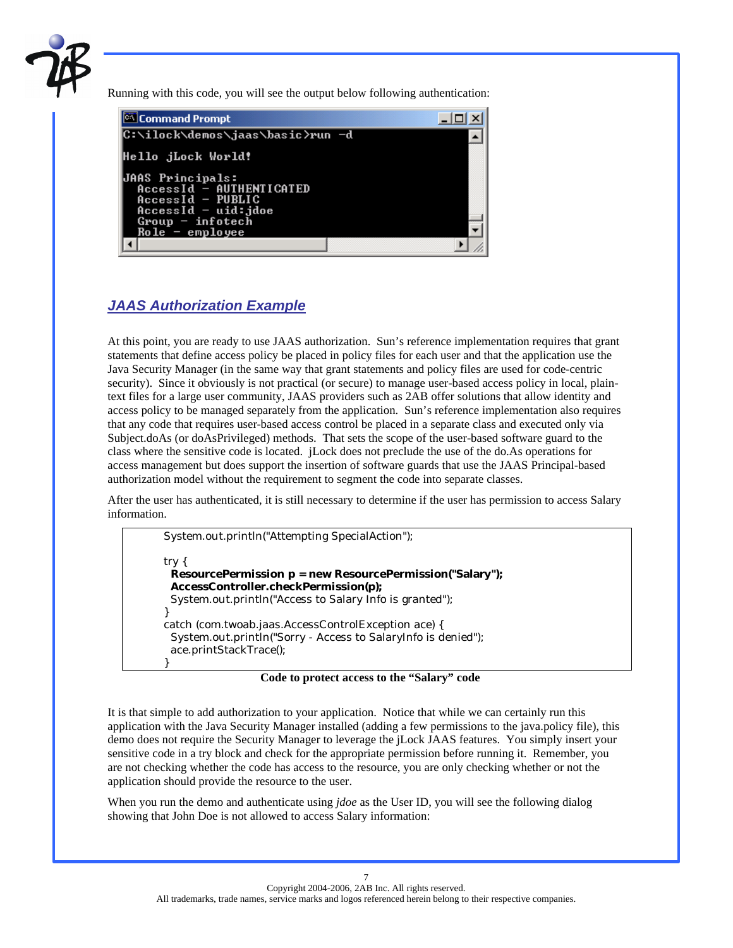

Running with this code, you will see the output below following authentication:

| Command Prompt                                                                                                                          |  |
|-----------------------------------------------------------------------------------------------------------------------------------------|--|
| C:∖ilock\demos\jaas\basic>run —d                                                                                                        |  |
| Hello jLock World!                                                                                                                      |  |
| JAAS Principals:<br>AccessId - AUTHENTICATED<br>$AccessId - PUBLIC$<br>$AccessId - uid:jdoe$<br>$Group - infotech$<br>$Role -$ employee |  |
|                                                                                                                                         |  |

# *JAAS Authorization Example*

At this point, you are ready to use JAAS authorization. Sun's reference implementation requires that grant statements that define access policy be placed in policy files for each user and that the application use the Java Security Manager (in the same way that grant statements and policy files are used for code-centric security). Since it obviously is not practical (or secure) to manage user-based access policy in local, plaintext files for a large user community, JAAS providers such as 2AB offer solutions that allow identity and access policy to be managed separately from the application. Sun's reference implementation also requires that any code that requires user-based access control be placed in a separate class and executed only via Subject.doAs (or doAsPrivileged) methods. That sets the scope of the user-based software guard to the class where the sensitive code is located. jLock does not preclude the use of the do.As operations for access management but does support the insertion of software guards that use the JAAS Principal-based authorization model without the requirement to segment the code into separate classes.

After the user has authenticated, it is still necessary to determine if the user has permission to access Salary information.

 System.out.println("Attempting SpecialAction"); try { **ResourcePermission p = new ResourcePermission("Salary"); AccessController.checkPermission(p);** System.out.println("Access to Salary Info is granted"); } catch (com.twoab.jaas.AccessControlException ace) { System.out.println("Sorry - Access to SalaryInfo is denied"); ace.printStackTrace(); }

 **Code to protect access to the "Salary" code**

It is that simple to add authorization to your application. Notice that while we can certainly run this application with the Java Security Manager installed (adding a few permissions to the java.policy file), this demo does not require the Security Manager to leverage the jLock JAAS features. You simply insert your sensitive code in a try block and check for the appropriate permission before running it. Remember, you are not checking whether the code has access to the resource, you are only checking whether or not the application should provide the resource to the user.

When you run the demo and authenticate using *jdoe* as the User ID, you will see the following dialog showing that John Doe is not allowed to access Salary information: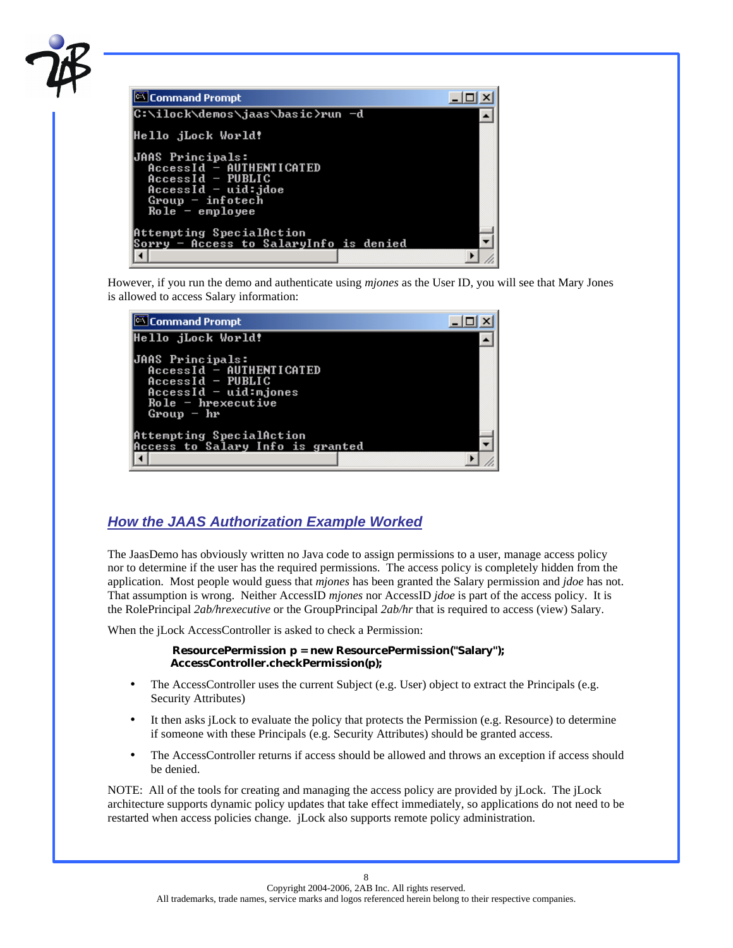

However, if you run the demo and authenticate using *mjones* as the User ID, you will see that Mary Jones is allowed to access Salary information:

| Command Prompt                                                                                                                               |  |
|----------------------------------------------------------------------------------------------------------------------------------------------|--|
| Hello jLock World!                                                                                                                           |  |
| <b>JAAS Principals:</b><br>AccessId - AUTHENTICATED<br>$AccessId$ - PUBLIC<br>AccessId - uid:mjones<br>$Ro1e - h$ rexecutive<br>$Group - hr$ |  |
| Attempting SpecialAction<br>Access to Salary Info is granted                                                                                 |  |
|                                                                                                                                              |  |

## *How the JAAS Authorization Example Worked*

The JaasDemo has obviously written no Java code to assign permissions to a user, manage access policy nor to determine if the user has the required permissions. The access policy is completely hidden from the application. Most people would guess that *mjones* has been granted the Salary permission and *jdoe* has not. That assumption is wrong. Neither AccessID *mjones* nor AccessID *jdoe* is part of the access policy. It is the RolePrincipal *2ab/hrexecutive* or the GroupPrincipal *2ab/hr* that is required to access (view) Salary.

When the jLock AccessController is asked to check a Permission:

#### **ResourcePermission p = new ResourcePermission("Salary"); AccessController.checkPermission(p);**

- The AccessController uses the current Subject (e.g. User) object to extract the Principals (e.g. Security Attributes)
- It then asks jLock to evaluate the policy that protects the Permission (e.g. Resource) to determine if someone with these Principals (e.g. Security Attributes) should be granted access.
- The AccessController returns if access should be allowed and throws an exception if access should be denied.

NOTE: All of the tools for creating and managing the access policy are provided by jLock. The jLock architecture supports dynamic policy updates that take effect immediately, so applications do not need to be restarted when access policies change. jLock also supports remote policy administration.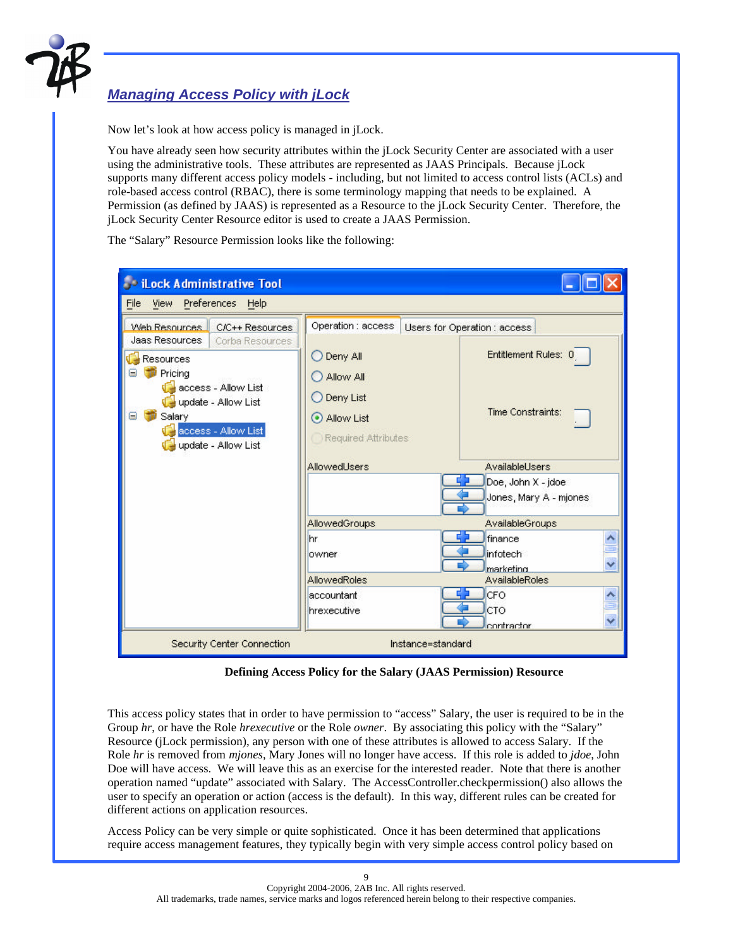

## *Managing Access Policy with jLock*

Now let's look at how access policy is managed in jLock.

You have already seen how security attributes within the jLock Security Center are associated with a user using the administrative tools. These attributes are represented as JAAS Principals. Because jLock supports many different access policy models - including, but not limited to access control lists (ACLs) and role-based access control (RBAC), there is some terminology mapping that needs to be explained. A Permission (as defined by JAAS) is represented as a Resource to the jLock Security Center. Therefore, the jLock Security Center Resource editor is used to create a JAAS Permission.

The "Salary" Resource Permission looks like the following:

| iLock Administrative Tool                                                                                                       |                                                                         |                                                                |
|---------------------------------------------------------------------------------------------------------------------------------|-------------------------------------------------------------------------|----------------------------------------------------------------|
| View Preferences Help<br>File                                                                                                   |                                                                         |                                                                |
| Web Resources C/C++ Resources<br>Jaas Resources<br>Corba Resources                                                              | Operation : access                                                      | Users for Operation : access                                   |
| Resources<br>Pricing<br>access - Allow List<br>update - Allow List<br>Salary<br>Θ<br>access - Allow List<br>update - Allow List | Deny All<br>Allow All<br>Deny List<br>Allow List<br>Required Attributes | Entitlement Rules: 0<br>Time Constraints:                      |
|                                                                                                                                 | AllowedUsers                                                            | AvailableUsers<br>Doe, John X - jdoe<br>Jones, Mary A - mjones |
|                                                                                                                                 | <b>AllowedGroups</b>                                                    | AvailableGroups                                                |
|                                                                                                                                 | hr<br>lowner                                                            | $\frac{1}{2}$<br>finance<br>infotech<br>marketing              |
|                                                                                                                                 | <b>AllowedRoles</b>                                                     | AvailableRoles                                                 |
|                                                                                                                                 | accountant<br>hrexecutive                                               | CFO<br>CTO<br>contractor                                       |
| Security Center Connection                                                                                                      |                                                                         | Instance=standard                                              |

 **Defining Access Policy for the Salary (JAAS Permission) Resource** 

This access policy states that in order to have permission to "access" Salary, the user is required to be in the Group *hr*, or have the Role *hrexecutive* or the Role *owner*. By associating this policy with the "Salary" Resource (jLock permission), any person with one of these attributes is allowed to access Salary. If the Role *hr* is removed from *mjones*, Mary Jones will no longer have access. If this role is added to *jdoe*, John Doe will have access. We will leave this as an exercise for the interested reader. Note that there is another operation named "update" associated with Salary. The AccessController.checkpermission() also allows the user to specify an operation or action (access is the default). In this way, different rules can be created for different actions on application resources.

Access Policy can be very simple or quite sophisticated. Once it has been determined that applications require access management features, they typically begin with very simple access control policy based on